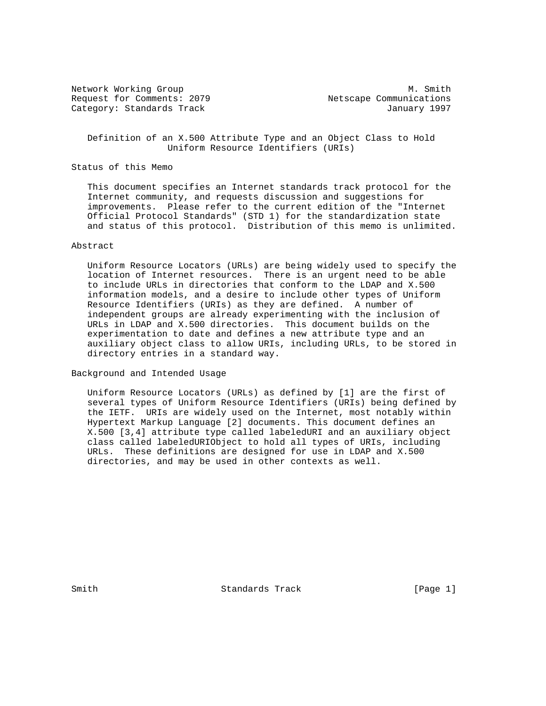Request for Comments: 2079 Netscape Communications Category: Standards Track January 1997

Network Working Group Methods and Muslim Muslim Muslim Muslim Muslim Muslim Muslim Muslim Muslim Muslim Muslim

 Definition of an X.500 Attribute Type and an Object Class to Hold Uniform Resource Identifiers (URIs)

## Status of this Memo

 This document specifies an Internet standards track protocol for the Internet community, and requests discussion and suggestions for improvements. Please refer to the current edition of the "Internet Official Protocol Standards" (STD 1) for the standardization state and status of this protocol. Distribution of this memo is unlimited.

## Abstract

 Uniform Resource Locators (URLs) are being widely used to specify the location of Internet resources. There is an urgent need to be able to include URLs in directories that conform to the LDAP and X.500 information models, and a desire to include other types of Uniform Resource Identifiers (URIs) as they are defined. A number of independent groups are already experimenting with the inclusion of URLs in LDAP and X.500 directories. This document builds on the experimentation to date and defines a new attribute type and an auxiliary object class to allow URIs, including URLs, to be stored in directory entries in a standard way.

Background and Intended Usage

 Uniform Resource Locators (URLs) as defined by [1] are the first of several types of Uniform Resource Identifiers (URIs) being defined by the IETF. URIs are widely used on the Internet, most notably within Hypertext Markup Language [2] documents. This document defines an X.500 [3,4] attribute type called labeledURI and an auxiliary object class called labeledURIObject to hold all types of URIs, including URLs. These definitions are designed for use in LDAP and X.500 directories, and may be used in other contexts as well.

Smith Standards Track [Page 1]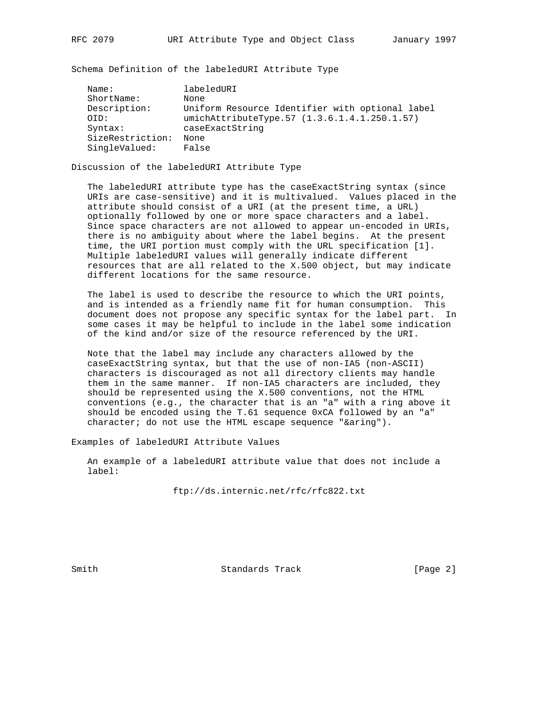Schema Definition of the labeledURI Attribute Type

| Uniform Resource Identifier with optional label |
|-------------------------------------------------|
| umichAttributeType.57 (1.3.6.1.4.1.250.1.57)    |
|                                                 |
|                                                 |
|                                                 |
|                                                 |

Discussion of the labeledURI Attribute Type

 The labeledURI attribute type has the caseExactString syntax (since URIs are case-sensitive) and it is multivalued. Values placed in the attribute should consist of a URI (at the present time, a URL) optionally followed by one or more space characters and a label. Since space characters are not allowed to appear un-encoded in URIs, there is no ambiguity about where the label begins. At the present time, the URI portion must comply with the URL specification [1]. Multiple labeledURI values will generally indicate different resources that are all related to the X.500 object, but may indicate different locations for the same resource.

 The label is used to describe the resource to which the URI points, and is intended as a friendly name fit for human consumption. This document does not propose any specific syntax for the label part. In some cases it may be helpful to include in the label some indication of the kind and/or size of the resource referenced by the URI.

 Note that the label may include any characters allowed by the caseExactString syntax, but that the use of non-IA5 (non-ASCII) characters is discouraged as not all directory clients may handle them in the same manner. If non-IA5 characters are included, they should be represented using the X.500 conventions, not the HTML conventions (e.g., the character that is an "a" with a ring above it should be encoded using the T.61 sequence 0xCA followed by an "a" character; do not use the HTML escape sequence "&aring").

Examples of labeledURI Attribute Values

 An example of a labeledURI attribute value that does not include a label:

ftp://ds.internic.net/rfc/rfc822.txt

Smith Standards Track [Page 2]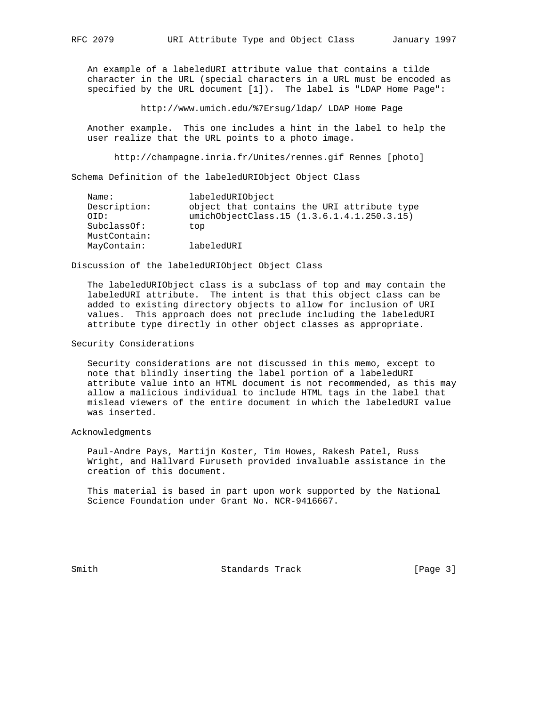An example of a labeledURI attribute value that contains a tilde character in the URL (special characters in a URL must be encoded as specified by the URL document [1]). The label is "LDAP Home Page":

http://www.umich.edu/%7Ersug/ldap/ LDAP Home Page

 Another example. This one includes a hint in the label to help the user realize that the URL points to a photo image.

http://champagne.inria.fr/Unites/rennes.gif Rennes [photo]

Schema Definition of the labeledURIObject Object Class

| Name:        | labeledURIObject                            |
|--------------|---------------------------------------------|
| Description: | object that contains the URI attribute type |
| OTD:         | umichObjectClass.15 (1.3.6.1.4.1.250.3.15)  |
| SubclassOf:  | top                                         |
| MustContain: |                                             |
| MayContain:  | labeledURI                                  |
|              |                                             |

Discussion of the labeledURIObject Object Class

 The labeledURIObject class is a subclass of top and may contain the labeledURI attribute. The intent is that this object class can be added to existing directory objects to allow for inclusion of URI values. This approach does not preclude including the labeledURI attribute type directly in other object classes as appropriate.

## Security Considerations

 Security considerations are not discussed in this memo, except to note that blindly inserting the label portion of a labeledURI attribute value into an HTML document is not recommended, as this may allow a malicious individual to include HTML tags in the label that mislead viewers of the entire document in which the labeledURI value was inserted.

Acknowledgments

 Paul-Andre Pays, Martijn Koster, Tim Howes, Rakesh Patel, Russ Wright, and Hallvard Furuseth provided invaluable assistance in the creation of this document.

 This material is based in part upon work supported by the National Science Foundation under Grant No. NCR-9416667.

Smith Standards Track [Page 3]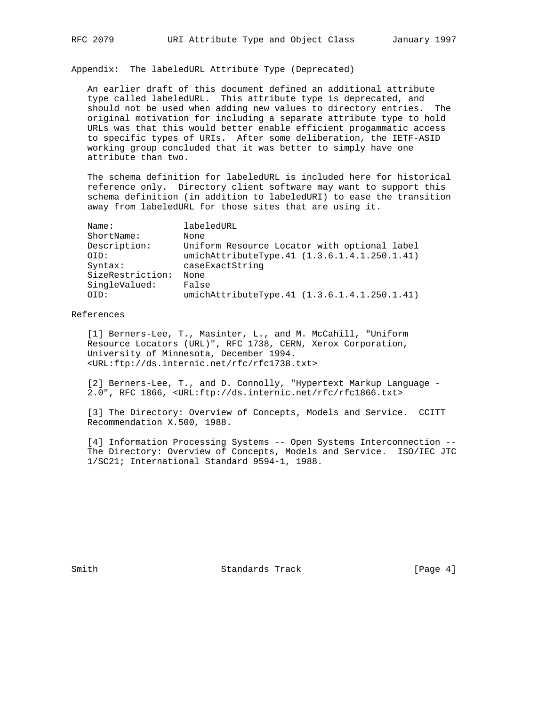Appendix: The labeledURL Attribute Type (Deprecated)

 An earlier draft of this document defined an additional attribute type called labeledURL. This attribute type is deprecated, and should not be used when adding new values to directory entries. The original motivation for including a separate attribute type to hold URLs was that this would better enable efficient progammatic access to specific types of URIs. After some deliberation, the IETF-ASID working group concluded that it was better to simply have one attribute than two.

 The schema definition for labeledURL is included here for historical reference only. Directory client software may want to support this schema definition (in addition to labeledURI) to ease the transition away from labeledURL for those sites that are using it.

| Name:            | labeledURL                                   |
|------------------|----------------------------------------------|
| ShortName:       | None                                         |
| Description:     | Uniform Resource Locator with optional label |
| OID:             | umichAttributeType.41 (1.3.6.1.4.1.250.1.41) |
| Syntax:          | caseExactString                              |
| SizeRestriction: | None                                         |
| SingleValued:    | False                                        |
| OTD:             | umichAttributeType.41 (1.3.6.1.4.1.250.1.41) |

## References

 [1] Berners-Lee, T., Masinter, L., and M. McCahill, "Uniform Resource Locators (URL)", RFC 1738, CERN, Xerox Corporation, University of Minnesota, December 1994. <URL:ftp://ds.internic.net/rfc/rfc1738.txt>

 [2] Berners-Lee, T., and D. Connolly, "Hypertext Markup Language - 2.0", RFC 1866, <URL:ftp://ds.internic.net/rfc/rfc1866.txt>

 [3] The Directory: Overview of Concepts, Models and Service. CCITT Recommendation X.500, 1988.

 [4] Information Processing Systems -- Open Systems Interconnection -- The Directory: Overview of Concepts, Models and Service. ISO/IEC JTC 1/SC21; International Standard 9594-1, 1988.

Smith Standards Track [Page 4]